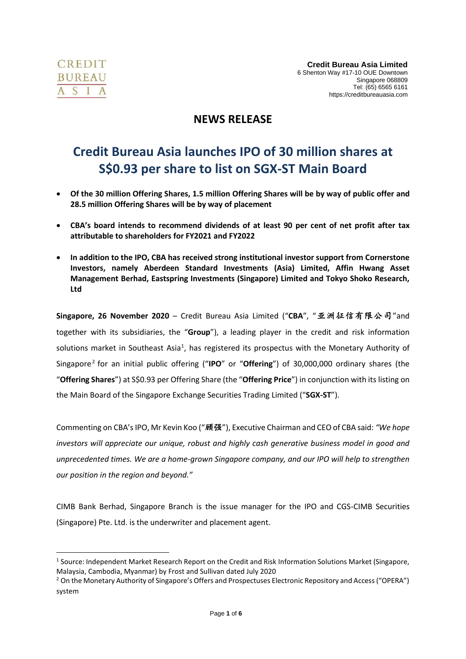

# **NEWS RELEASE**

# **Credit Bureau Asia launches IPO of 30 million shares at S\$0.93 per share to list on SGX-ST Main Board**

- **Of the 30 million Offering Shares, 1.5 million Offering Shares will be by way of public offer and 28.5 million Offering Shares will be by way of placement**
- **CBA's board intends to recommend dividends of at least 90 per cent of net profit after tax attributable to shareholders for FY2021 and FY2022**
- **In addition to the IPO, CBA has received strong institutional investor support from Cornerstone Investors, namely Aberdeen Standard Investments (Asia) Limited, Affin Hwang Asset Management Berhad, Eastspring Investments (Singapore) Limited and Tokyo Shoko Research, Ltd**

**Singapore, 26 November 2020** – Credit Bureau Asia Limited ("**CBA**", "亚洲征信有限公司"and together with its subsidiaries, the "**Group**"), a leading player in the credit and risk information solutions market in Southeast Asia<sup>1</sup>, has registered its prospectus with the Monetary Authority of Singapore<sup>2</sup> for an initial public offering ("IPO" or "Offering") of 30,000,000 ordinary shares (the "**Offering Shares**") at S\$0.93 per Offering Share (the "**Offering Price**") in conjunction with its listing on the Main Board of the Singapore Exchange Securities Trading Limited ("**SGX-ST**").

Commenting on CBA's IPO, Mr Kevin Koo ("顾强"), Executive Chairman and CEO of CBA said: *"We hope investors will appreciate our unique, robust and highly cash generative business model in good and unprecedented times. We are a home-grown Singapore company, and our IPO will help to strengthen our position in the region and beyond."*

CIMB Bank Berhad, Singapore Branch is the issue manager for the IPO and CGS-CIMB Securities (Singapore) Pte. Ltd. is the underwriter and placement agent.

<sup>&</sup>lt;sup>1</sup> Source: Independent Market Research Report on the Credit and Risk Information Solutions Market (Singapore, Malaysia, Cambodia, Myanmar) by Frost and Sullivan dated July 2020

<sup>&</sup>lt;sup>2</sup> On the Monetary Authority of Singapore's Offers and Prospectuses Electronic Repository and Access ("OPERA") system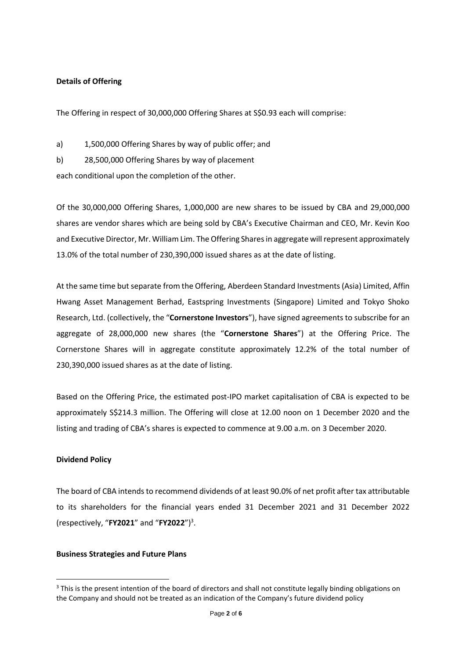#### **Details of Offering**

The Offering in respect of 30,000,000 Offering Shares at S\$0.93 each will comprise:

a) 1,500,000 Offering Shares by way of public offer; and

b) 28,500,000 Offering Shares by way of placement

each conditional upon the completion of the other.

Of the 30,000,000 Offering Shares, 1,000,000 are new shares to be issued by CBA and 29,000,000 shares are vendor shares which are being sold by CBA's Executive Chairman and CEO, Mr. Kevin Koo and Executive Director, Mr. William Lim. The Offering Shares in aggregate will represent approximately 13.0% of the total number of 230,390,000 issued shares as at the date of listing.

At the same time but separate from the Offering, Aberdeen Standard Investments (Asia) Limited, Affin Hwang Asset Management Berhad, Eastspring Investments (Singapore) Limited and Tokyo Shoko Research, Ltd. (collectively, the "**Cornerstone Investors**"), have signed agreements to subscribe for an aggregate of 28,000,000 new shares (the "**Cornerstone Shares**") at the Offering Price. The Cornerstone Shares will in aggregate constitute approximately 12.2% of the total number of 230,390,000 issued shares as at the date of listing.

Based on the Offering Price, the estimated post-IPO market capitalisation of CBA is expected to be approximately S\$214.3 million. The Offering will close at 12.00 noon on 1 December 2020 and the listing and trading of CBA's shares is expected to commence at 9.00 a.m. on 3 December 2020.

#### **Dividend Policy**

The board of CBA intends to recommend dividends of at least 90.0% of net profit after tax attributable to its shareholders for the financial years ended 31 December 2021 and 31 December 2022 (respectively, "**FY2021**" and "**FY2022**")<sup>3</sup> .

#### **Business Strategies and Future Plans**

<sup>&</sup>lt;sup>3</sup> This is the present intention of the board of directors and shall not constitute legally binding obligations on the Company and should not be treated as an indication of the Company's future dividend policy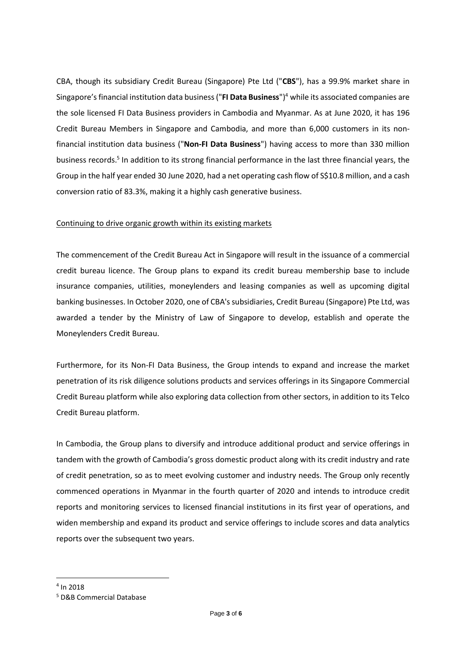CBA, though its subsidiary Credit Bureau (Singapore) Pte Ltd ("**CBS**"), has a 99.9% market share in Singapore's financial institution data business ("**FI Data Business**")<sup>4</sup> while its associated companies are the sole licensed FI Data Business providers in Cambodia and Myanmar. As at June 2020, it has 196 Credit Bureau Members in Singapore and Cambodia, and more than 6,000 customers in its nonfinancial institution data business ("**Non-FI Data Business**") having access to more than 330 million business records.<sup>5</sup> In addition to its strong financial performance in the last three financial years, the Group in the half year ended 30 June 2020, had a net operating cash flow of S\$10.8 million, and a cash conversion ratio of 83.3%, making it a highly cash generative business.

#### Continuing to drive organic growth within its existing markets

The commencement of the Credit Bureau Act in Singapore will result in the issuance of a commercial credit bureau licence. The Group plans to expand its credit bureau membership base to include insurance companies, utilities, moneylenders and leasing companies as well as upcoming digital banking businesses. In October 2020, one of CBA'ssubsidiaries, Credit Bureau (Singapore) Pte Ltd, was awarded a tender by the Ministry of Law of Singapore to develop, establish and operate the Moneylenders Credit Bureau.

Furthermore, for its Non-FI Data Business, the Group intends to expand and increase the market penetration of its risk diligence solutions products and services offerings in its Singapore Commercial Credit Bureau platform while also exploring data collection from other sectors, in addition to its Telco Credit Bureau platform.

In Cambodia, the Group plans to diversify and introduce additional product and service offerings in tandem with the growth of Cambodia's gross domestic product along with its credit industry and rate of credit penetration, so as to meet evolving customer and industry needs. The Group only recently commenced operations in Myanmar in the fourth quarter of 2020 and intends to introduce credit reports and monitoring services to licensed financial institutions in its first year of operations, and widen membership and expand its product and service offerings to include scores and data analytics reports over the subsequent two years.

<sup>4</sup> In 2018

<sup>5</sup> D&B Commercial Database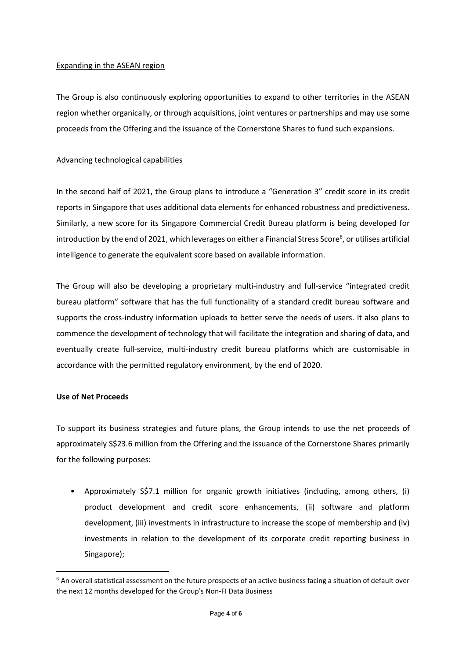#### Expanding in the ASEAN region

The Group is also continuously exploring opportunities to expand to other territories in the ASEAN region whether organically, or through acquisitions, joint ventures or partnerships and may use some proceeds from the Offering and the issuance of the Cornerstone Shares to fund such expansions.

## Advancing technological capabilities

In the second half of 2021, the Group plans to introduce a "Generation 3" credit score in its credit reports in Singapore that uses additional data elements for enhanced robustness and predictiveness. Similarly, a new score for its Singapore Commercial Credit Bureau platform is being developed for introduction by the end of 2021, which leverages on either a Financial Stress Score<sup>6</sup>, or utilises artificial intelligence to generate the equivalent score based on available information.

The Group will also be developing a proprietary multi-industry and full-service "integrated credit bureau platform" software that has the full functionality of a standard credit bureau software and supports the cross-industry information uploads to better serve the needs of users. It also plans to commence the development of technology that will facilitate the integration and sharing of data, and eventually create full-service, multi-industry credit bureau platforms which are customisable in accordance with the permitted regulatory environment, by the end of 2020.

### **Use of Net Proceeds**

To support its business strategies and future plans, the Group intends to use the net proceeds of approximately S\$23.6 million from the Offering and the issuance of the Cornerstone Shares primarily for the following purposes:

• Approximately S\$7.1 million for organic growth initiatives (including, among others, (i) product development and credit score enhancements, (ii) software and platform development, (iii) investments in infrastructure to increase the scope of membership and (iv) investments in relation to the development of its corporate credit reporting business in Singapore);

 $6$  An overall statistical assessment on the future prospects of an active business facing a situation of default over the next 12 months developed for the Group's Non-FI Data Business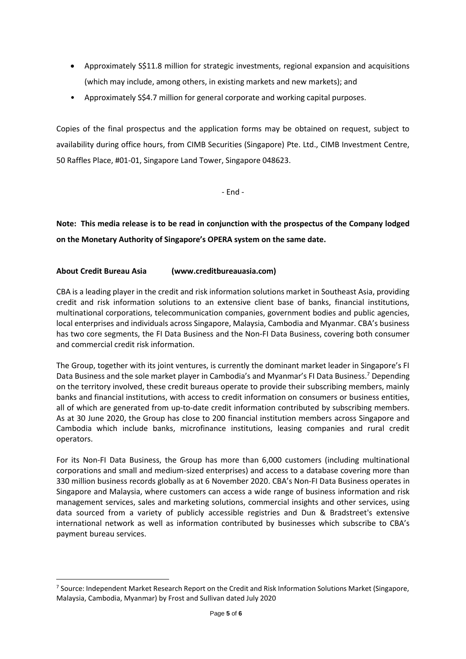- Approximately S\$11.8 million for strategic investments, regional expansion and acquisitions (which may include, among others, in existing markets and new markets); and
- Approximately S\$4.7 million for general corporate and working capital purposes.

Copies of the final prospectus and the application forms may be obtained on request, subject to availability during office hours, from CIMB Securities (Singapore) Pte. Ltd., CIMB Investment Centre, 50 Raffles Place, #01-01, Singapore Land Tower, Singapore 048623.

- End -

**Note: This media release is to be read in conjunction with the prospectus of the Company lodged on the Monetary Authority of Singapore's OPERA system on the same date.**

# **About Credit Bureau Asia (www.creditbureauasia.com)**

CBA is a leading player in the credit and risk information solutions market in Southeast Asia, providing credit and risk information solutions to an extensive client base of banks, financial institutions, multinational corporations, telecommunication companies, government bodies and public agencies, local enterprises and individuals across Singapore, Malaysia, Cambodia and Myanmar. CBA's business has two core segments, the FI Data Business and the Non-FI Data Business, covering both consumer and commercial credit risk information.

The Group, together with its joint ventures, is currently the dominant market leader in Singapore's FI Data Business and the sole market player in Cambodia's and Myanmar's FI Data Business.<sup>7</sup> Depending on the territory involved, these credit bureaus operate to provide their subscribing members, mainly banks and financial institutions, with access to credit information on consumers or business entities, all of which are generated from up-to-date credit information contributed by subscribing members. As at 30 June 2020, the Group has close to 200 financial institution members across Singapore and Cambodia which include banks, microfinance institutions, leasing companies and rural credit operators.

For its Non-FI Data Business, the Group has more than 6,000 customers (including multinational corporations and small and medium-sized enterprises) and access to a database covering more than 330 million business records globally as at 6 November 2020. CBA's Non-FI Data Business operates in Singapore and Malaysia, where customers can access a wide range of business information and risk management services, sales and marketing solutions, commercial insights and other services, using data sourced from a variety of publicly accessible registries and Dun & Bradstreet's extensive international network as well as information contributed by businesses which subscribe to CBA's payment bureau services.

<sup>&</sup>lt;sup>7</sup> Source: Independent Market Research Report on the Credit and Risk Information Solutions Market (Singapore, Malaysia, Cambodia, Myanmar) by Frost and Sullivan dated July 2020